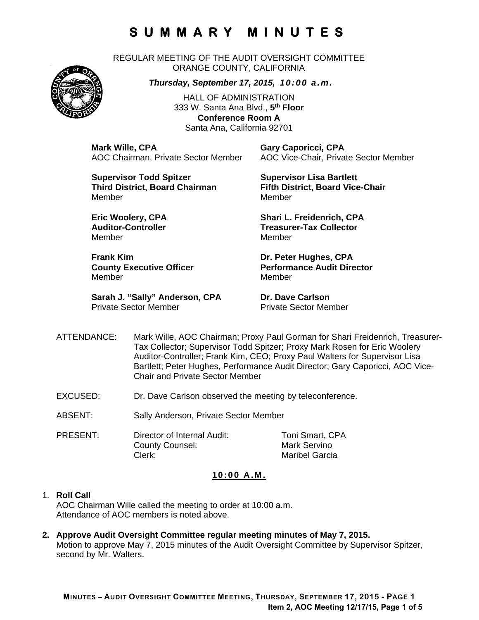REGULAR MEETING OF THE AUDIT OVERSIGHT COMMITTEE ORANGE COUNTY, CALIFORNIA

*Thursday, September 17, 2015, 10:00 a.m.*

HALL OF ADMINISTRATION 333 W. Santa Ana Blvd., **5th Floor Conference Room A**  Santa Ana, California 92701

**Mark Wille, CPA Gary Caporicci, CPA**

AOC Chairman, Private Sector Member AOC Vice-Chair, Private Sector Member

**Supervisor Todd Spitzer Supervisor Lisa Bartlett Third District, Board Chairman Fifth District, Board Vice-Chair**  MemberMember

Member Member

**Frank Kim Community Community Community Community Dr. Peter Hughes, CPA** Member Member

**Sarah J. "Sally" Anderson, CPA Dr. Dave Carlson**<br>Private Sector Member **Dr. Private Sector Men** 

**Eric Woolery, CPA** Shari L. Freidenrich, CPA **Auditor-Controller Treasurer-Tax Collector** 

**County Executive Officer Theory Performance Audit Director** 

Private Sector Member

- ATTENDANCE: Mark Wille, AOC Chairman; Proxy Paul Gorman for Shari Freidenrich, Treasurer-Tax Collector; Supervisor Todd Spitzer; Proxy Mark Rosen for Eric Woolery Auditor-Controller; Frank Kim, CEO; Proxy Paul Walters for Supervisor Lisa Bartlett; Peter Hughes, Performance Audit Director; Gary Caporicci, AOC Vice-Chair and Private Sector Member
- EXCUSED: Dr. Dave Carlson observed the meeting by teleconference.
- ABSENT: Sally Anderson, Private Sector Member

PRESENT: Director of Internal Audit: Toni Smart, CPA County Counsel: Mark Servino Clerk: Maribel Garcia

### **10:00 A.M.**

#### 1. **Roll Call**

AOC Chairman Wille called the meeting to order at 10:00 a.m. Attendance of AOC members is noted above.

**2. Approve Audit Oversight Committee regular meeting minutes of May 7, 2015.**  Motion to approve May 7, 2015 minutes of the Audit Oversight Committee by Supervisor Spitzer, second by Mr. Walters.

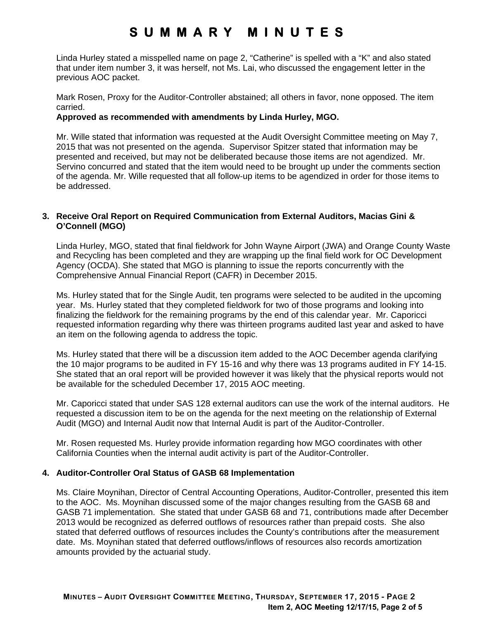Linda Hurley stated a misspelled name on page 2, "Catherine" is spelled with a "K" and also stated that under item number 3, it was herself, not Ms. Lai, who discussed the engagement letter in the previous AOC packet.

Mark Rosen, Proxy for the Auditor-Controller abstained; all others in favor, none opposed. The item carried.

#### **Approved as recommended with amendments by Linda Hurley, MGO.**

Mr. Wille stated that information was requested at the Audit Oversight Committee meeting on May 7, 2015 that was not presented on the agenda. Supervisor Spitzer stated that information may be presented and received, but may not be deliberated because those items are not agendized. Mr. Servino concurred and stated that the item would need to be brought up under the comments section of the agenda. Mr. Wille requested that all follow-up items to be agendized in order for those items to be addressed.

### **3. Receive Oral Report on Required Communication from External Auditors, Macias Gini & O'Connell (MGO)**

Linda Hurley, MGO, stated that final fieldwork for John Wayne Airport (JWA) and Orange County Waste and Recycling has been completed and they are wrapping up the final field work for OC Development Agency (OCDA). She stated that MGO is planning to issue the reports concurrently with the Comprehensive Annual Financial Report (CAFR) in December 2015.

Ms. Hurley stated that for the Single Audit, ten programs were selected to be audited in the upcoming year. Ms. Hurley stated that they completed fieldwork for two of those programs and looking into finalizing the fieldwork for the remaining programs by the end of this calendar year. Mr. Caporicci requested information regarding why there was thirteen programs audited last year and asked to have an item on the following agenda to address the topic.

Ms. Hurley stated that there will be a discussion item added to the AOC December agenda clarifying the 10 major programs to be audited in FY 15-16 and why there was 13 programs audited in FY 14-15. She stated that an oral report will be provided however it was likely that the physical reports would not be available for the scheduled December 17, 2015 AOC meeting.

Mr. Caporicci stated that under SAS 128 external auditors can use the work of the internal auditors. He requested a discussion item to be on the agenda for the next meeting on the relationship of External Audit (MGO) and Internal Audit now that Internal Audit is part of the Auditor-Controller.

Mr. Rosen requested Ms. Hurley provide information regarding how MGO coordinates with other California Counties when the internal audit activity is part of the Auditor-Controller.

#### **4. Auditor-Controller Oral Status of GASB 68 Implementation**

Ms. Claire Moynihan, Director of Central Accounting Operations, Auditor-Controller, presented this item to the AOC. Ms. Moynihan discussed some of the major changes resulting from the GASB 68 and GASB 71 implementation. She stated that under GASB 68 and 71, contributions made after December 2013 would be recognized as deferred outflows of resources rather than prepaid costs. She also stated that deferred outflows of resources includes the County's contributions after the measurement date. Ms. Moynihan stated that deferred outflows/inflows of resources also records amortization amounts provided by the actuarial study.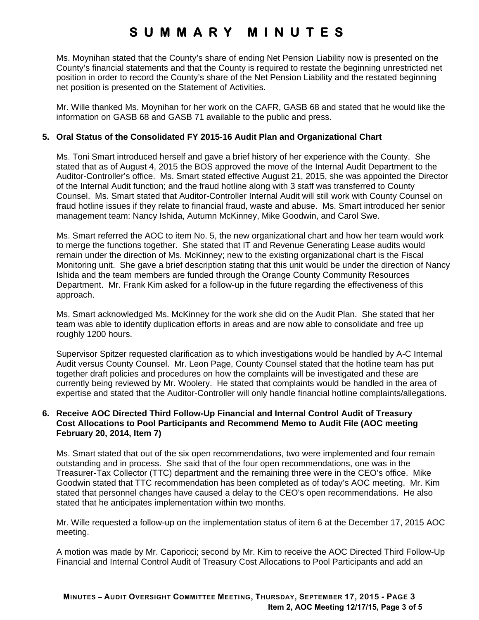Ms. Moynihan stated that the County's share of ending Net Pension Liability now is presented on the County's financial statements and that the County is required to restate the beginning unrestricted net position in order to record the County's share of the Net Pension Liability and the restated beginning net position is presented on the Statement of Activities.

Mr. Wille thanked Ms. Moynihan for her work on the CAFR, GASB 68 and stated that he would like the information on GASB 68 and GASB 71 available to the public and press.

### **5. Oral Status of the Consolidated FY 2015-16 Audit Plan and Organizational Chart**

Ms. Toni Smart introduced herself and gave a brief history of her experience with the County. She stated that as of August 4, 2015 the BOS approved the move of the Internal Audit Department to the Auditor-Controller's office. Ms. Smart stated effective August 21, 2015, she was appointed the Director of the Internal Audit function; and the fraud hotline along with 3 staff was transferred to County Counsel. Ms. Smart stated that Auditor-Controller Internal Audit will still work with County Counsel on fraud hotline issues if they relate to financial fraud, waste and abuse. Ms. Smart introduced her senior management team: Nancy Ishida, Autumn McKinney, Mike Goodwin, and Carol Swe.

Ms. Smart referred the AOC to item No. 5, the new organizational chart and how her team would work to merge the functions together. She stated that IT and Revenue Generating Lease audits would remain under the direction of Ms. McKinney; new to the existing organizational chart is the Fiscal Monitoring unit. She gave a brief description stating that this unit would be under the direction of Nancy Ishida and the team members are funded through the Orange County Community Resources Department. Mr. Frank Kim asked for a follow-up in the future regarding the effectiveness of this approach.

Ms. Smart acknowledged Ms. McKinney for the work she did on the Audit Plan. She stated that her team was able to identify duplication efforts in areas and are now able to consolidate and free up roughly 1200 hours.

Supervisor Spitzer requested clarification as to which investigations would be handled by A-C Internal Audit versus County Counsel. Mr. Leon Page, County Counsel stated that the hotline team has put together draft policies and procedures on how the complaints will be investigated and these are currently being reviewed by Mr. Woolery. He stated that complaints would be handled in the area of expertise and stated that the Auditor-Controller will only handle financial hotline complaints/allegations.

### **6. Receive AOC Directed Third Follow-Up Financial and Internal Control Audit of Treasury Cost Allocations to Pool Participants and Recommend Memo to Audit File (AOC meeting February 20, 2014, Item 7)**

Ms. Smart stated that out of the six open recommendations, two were implemented and four remain outstanding and in process. She said that of the four open recommendations, one was in the Treasurer-Tax Collector (TTC) department and the remaining three were in the CEO's office. Mike Goodwin stated that TTC recommendation has been completed as of today's AOC meeting. Mr. Kim stated that personnel changes have caused a delay to the CEO's open recommendations. He also stated that he anticipates implementation within two months.

Mr. Wille requested a follow-up on the implementation status of item 6 at the December 17, 2015 AOC meeting.

A motion was made by Mr. Caporicci; second by Mr. Kim to receive the AOC Directed Third Follow-Up Financial and Internal Control Audit of Treasury Cost Allocations to Pool Participants and add an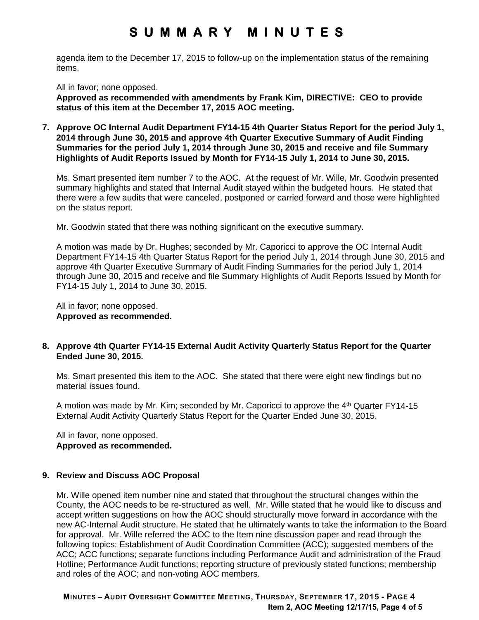agenda item to the December 17, 2015 to follow-up on the implementation status of the remaining items.

All in favor; none opposed.

**Approved as recommended with amendments by Frank Kim, DIRECTIVE: CEO to provide status of this item at the December 17, 2015 AOC meeting.** 

**7. Approve OC Internal Audit Department FY14-15 4th Quarter Status Report for the period July 1, 2014 through June 30, 2015 and approve 4th Quarter Executive Summary of Audit Finding Summaries for the period July 1, 2014 through June 30, 2015 and receive and file Summary Highlights of Audit Reports Issued by Month for FY14-15 July 1, 2014 to June 30, 2015.** 

Ms. Smart presented item number 7 to the AOC. At the request of Mr. Wille, Mr. Goodwin presented summary highlights and stated that Internal Audit stayed within the budgeted hours. He stated that there were a few audits that were canceled, postponed or carried forward and those were highlighted on the status report.

Mr. Goodwin stated that there was nothing significant on the executive summary.

A motion was made by Dr. Hughes; seconded by Mr. Caporicci to approve the OC Internal Audit Department FY14-15 4th Quarter Status Report for the period July 1, 2014 through June 30, 2015 and approve 4th Quarter Executive Summary of Audit Finding Summaries for the period July 1, 2014 through June 30, 2015 and receive and file Summary Highlights of Audit Reports Issued by Month for FY14-15 July 1, 2014 to June 30, 2015.

All in favor; none opposed. **Approved as recommended.** 

#### **8. Approve 4th Quarter FY14-15 External Audit Activity Quarterly Status Report for the Quarter Ended June 30, 2015.**

Ms. Smart presented this item to the AOC. She stated that there were eight new findings but no material issues found.

A motion was made by Mr. Kim; seconded by Mr. Caporicci to approve the 4<sup>th</sup> Quarter FY14-15 External Audit Activity Quarterly Status Report for the Quarter Ended June 30, 2015.

All in favor, none opposed. **Approved as recommended.** 

#### **9. Review and Discuss AOC Proposal**

Mr. Wille opened item number nine and stated that throughout the structural changes within the County, the AOC needs to be re-structured as well. Mr. Wille stated that he would like to discuss and accept written suggestions on how the AOC should structurally move forward in accordance with the new AC-Internal Audit structure. He stated that he ultimately wants to take the information to the Board for approval. Mr. Wille referred the AOC to the Item nine discussion paper and read through the following topics: Establishment of Audit Coordination Committee (ACC); suggested members of the ACC; ACC functions; separate functions including Performance Audit and administration of the Fraud Hotline; Performance Audit functions; reporting structure of previously stated functions; membership and roles of the AOC; and non-voting AOC members.